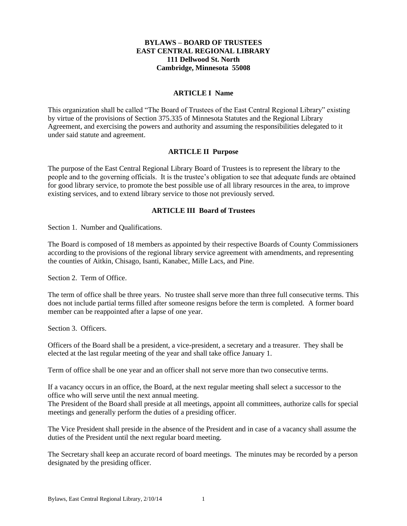### **BYLAWS – BOARD OF TRUSTEES EAST CENTRAL REGIONAL LIBRARY 111 Dellwood St. North Cambridge, Minnesota 55008**

### **ARTICLE I Name**

This organization shall be called "The Board of Trustees of the East Central Regional Library" existing by virtue of the provisions of Section 375.335 of Minnesota Statutes and the Regional Library Agreement, and exercising the powers and authority and assuming the responsibilities delegated to it under said statute and agreement.

### **ARTICLE II Purpose**

The purpose of the East Central Regional Library Board of Trustees is to represent the library to the people and to the governing officials. It is the trustee's obligation to see that adequate funds are obtained for good library service, to promote the best possible use of all library resources in the area, to improve existing services, and to extend library service to those not previously served.

### **ARTICLE III Board of Trustees**

Section 1. Number and Qualifications.

The Board is composed of 18 members as appointed by their respective Boards of County Commissioners according to the provisions of the regional library service agreement with amendments, and representing the counties of Aitkin, Chisago, Isanti, Kanabec, Mille Lacs, and Pine.

Section 2. Term of Office.

The term of office shall be three years. No trustee shall serve more than three full consecutive terms. This does not include partial terms filled after someone resigns before the term is completed. A former board member can be reappointed after a lapse of one year.

Section 3. Officers.

Officers of the Board shall be a president, a vice-president, a secretary and a treasurer. They shall be elected at the last regular meeting of the year and shall take office January 1.

Term of office shall be one year and an officer shall not serve more than two consecutive terms.

If a vacancy occurs in an office, the Board, at the next regular meeting shall select a successor to the office who will serve until the next annual meeting.

The President of the Board shall preside at all meetings, appoint all committees, authorize calls for special meetings and generally perform the duties of a presiding officer.

The Vice President shall preside in the absence of the President and in case of a vacancy shall assume the duties of the President until the next regular board meeting.

The Secretary shall keep an accurate record of board meetings. The minutes may be recorded by a person designated by the presiding officer.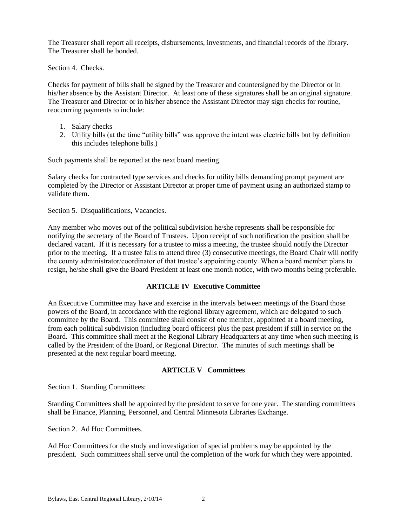The Treasurer shall report all receipts, disbursements, investments, and financial records of the library. The Treasurer shall be bonded.

Section 4. Checks.

Checks for payment of bills shall be signed by the Treasurer and countersigned by the Director or in his/her absence by the Assistant Director. At least one of these signatures shall be an original signature. The Treasurer and Director or in his/her absence the Assistant Director may sign checks for routine, reoccurring payments to include:

- 1. Salary checks
- 2. Utility bills (at the time "utility bills" was approve the intent was electric bills but by definition this includes telephone bills.)

Such payments shall be reported at the next board meeting.

Salary checks for contracted type services and checks for utility bills demanding prompt payment are completed by the Director or Assistant Director at proper time of payment using an authorized stamp to validate them.

Section 5. Disqualifications, Vacancies.

Any member who moves out of the political subdivision he/she represents shall be responsible for notifying the secretary of the Board of Trustees. Upon receipt of such notification the position shall be declared vacant. If it is necessary for a trustee to miss a meeting, the trustee should notify the Director prior to the meeting. If a trustee fails to attend three (3) consecutive meetings, the Board Chair will notify the county administrator/coordinator of that trustee's appointing county. When a board member plans to resign, he/she shall give the Board President at least one month notice, with two months being preferable.

# **ARTICLE IV Executive Committee**

An Executive Committee may have and exercise in the intervals between meetings of the Board those powers of the Board, in accordance with the regional library agreement, which are delegated to such committee by the Board. This committee shall consist of one member, appointed at a board meeting, from each political subdivision (including board officers) plus the past president if still in service on the Board. This committee shall meet at the Regional Library Headquarters at any time when such meeting is called by the President of the Board, or Regional Director. The minutes of such meetings shall be presented at the next regular board meeting.

### **ARTICLE V Committees**

Section 1. Standing Committees:

Standing Committees shall be appointed by the president to serve for one year. The standing committees shall be Finance, Planning, Personnel, and Central Minnesota Libraries Exchange.

Section 2. Ad Hoc Committees.

Ad Hoc Committees for the study and investigation of special problems may be appointed by the president. Such committees shall serve until the completion of the work for which they were appointed.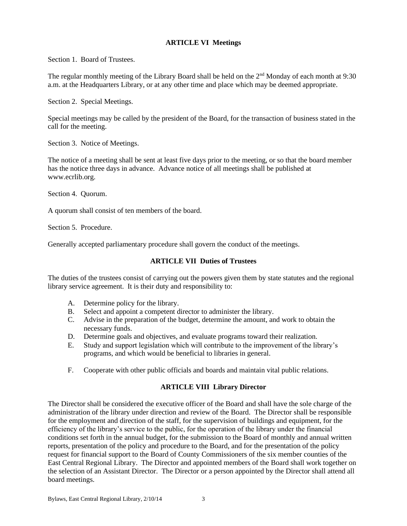## **ARTICLE VI Meetings**

Section 1. Board of Trustees.

The regular monthly meeting of the Library Board shall be held on the 2<sup>nd</sup> Monday of each month at 9:30 a.m. at the Headquarters Library, or at any other time and place which may be deemed appropriate.

Section 2. Special Meetings.

Special meetings may be called by the president of the Board, for the transaction of business stated in the call for the meeting.

Section 3. Notice of Meetings.

The notice of a meeting shall be sent at least five days prior to the meeting, or so that the board member has the notice three days in advance. Advance notice of all meetings shall be published at www.ecrlib.org.

Section 4. Quorum.

A quorum shall consist of ten members of the board.

Section 5. Procedure.

Generally accepted parliamentary procedure shall govern the conduct of the meetings.

### **ARTICLE VII Duties of Trustees**

The duties of the trustees consist of carrying out the powers given them by state statutes and the regional library service agreement. It is their duty and responsibility to:

- A. Determine policy for the library.
- B. Select and appoint a competent director to administer the library.
- C. Advise in the preparation of the budget, determine the amount, and work to obtain the necessary funds.
- D. Determine goals and objectives, and evaluate programs toward their realization.
- E. Study and support legislation which will contribute to the improvement of the library's programs, and which would be beneficial to libraries in general.
- F. Cooperate with other public officials and boards and maintain vital public relations.

### **ARTICLE VIII Library Director**

The Director shall be considered the executive officer of the Board and shall have the sole charge of the administration of the library under direction and review of the Board. The Director shall be responsible for the employment and direction of the staff, for the supervision of buildings and equipment, for the efficiency of the library's service to the public, for the operation of the library under the financial conditions set forth in the annual budget, for the submission to the Board of monthly and annual written reports, presentation of the policy and procedure to the Board, and for the presentation of the policy request for financial support to the Board of County Commissioners of the six member counties of the East Central Regional Library. The Director and appointed members of the Board shall work together on the selection of an Assistant Director. The Director or a person appointed by the Director shall attend all board meetings.